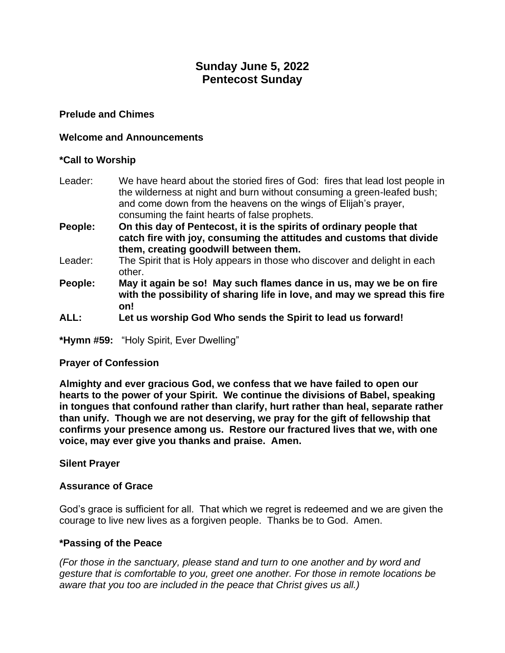# **Sunday June 5, 2022 Pentecost Sunday**

### **Prelude and Chimes**

#### **Welcome and Announcements**

#### **\*Call to Worship**

- Leader: We have heard about the storied fires of God: fires that lead lost people in the wilderness at night and burn without consuming a green-leafed bush; and come down from the heavens on the wings of Elijah's prayer, consuming the faint hearts of false prophets.
- **People: On this day of Pentecost, it is the spirits of ordinary people that catch fire with joy, consuming the attitudes and customs that divide them, creating goodwill between them.**
- Leader: The Spirit that is Holy appears in those who discover and delight in each other.
- **People: May it again be so! May such flames dance in us, may we be on fire with the possibility of sharing life in love, and may we spread this fire on!**
- **ALL: Let us worship God Who sends the Spirit to lead us forward!**

**\*Hymn #59:** "Holy Spirit, Ever Dwelling"

#### **Prayer of Confession**

**Almighty and ever gracious God, we confess that we have failed to open our hearts to the power of your Spirit. We continue the divisions of Babel, speaking in tongues that confound rather than clarify, hurt rather than heal, separate rather than unify. Though we are not deserving, we pray for the gift of fellowship that confirms your presence among us. Restore our fractured lives that we, with one voice, may ever give you thanks and praise. Amen.**

#### **Silent Prayer**

#### **Assurance of Grace**

God's grace is sufficient for all. That which we regret is redeemed and we are given the courage to live new lives as a forgiven people. Thanks be to God. Amen.

#### **\*Passing of the Peace**

*(For those in the sanctuary, please stand and turn to one another and by word and gesture that is comfortable to you, greet one another. For those in remote locations be aware that you too are included in the peace that Christ gives us all.)*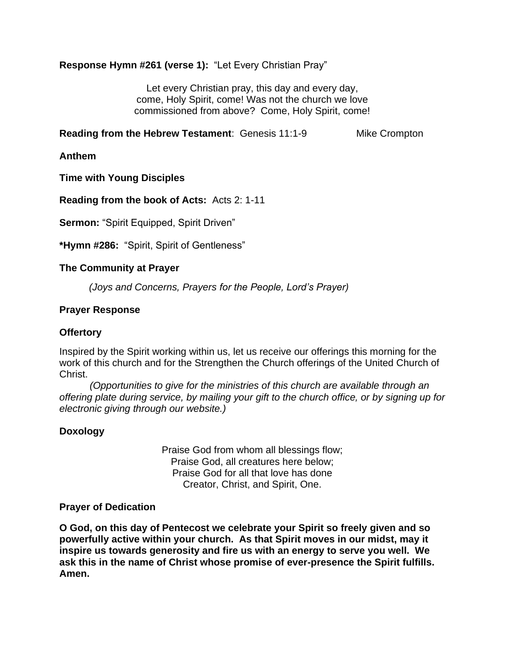# **Response Hymn #261 (verse 1):** "Let Every Christian Pray"

Let every Christian pray, this day and every day, come, Holy Spirit, come! Was not the church we love commissioned from above? Come, Holy Spirit, come!

**Reading from the Hebrew Testament: Genesis 11:1-9 Mike Crompton** 

**Anthem**

**Time with Young Disciples**

**Reading from the book of Acts:** Acts 2: 1-11

**Sermon:** "Spirit Equipped, Spirit Driven"

**\*Hymn #286:** "Spirit, Spirit of Gentleness"

#### **The Community at Prayer**

*(Joys and Concerns, Prayers for the People, Lord's Prayer)*

#### **Prayer Response**

#### **Offertory**

Inspired by the Spirit working within us, let us receive our offerings this morning for the work of this church and for the Strengthen the Church offerings of the United Church of Christ.

 *(Opportunities to give for the ministries of this church are available through an offering plate during service, by mailing your gift to the church office, or by signing up for electronic giving through our website.)*

# **Doxology**

Praise God from whom all blessings flow; Praise God, all creatures here below; Praise God for all that love has done Creator, Christ, and Spirit, One.

#### **Prayer of Dedication**

**O God, on this day of Pentecost we celebrate your Spirit so freely given and so powerfully active within your church. As that Spirit moves in our midst, may it inspire us towards generosity and fire us with an energy to serve you well. We ask this in the name of Christ whose promise of ever-presence the Spirit fulfills. Amen.**